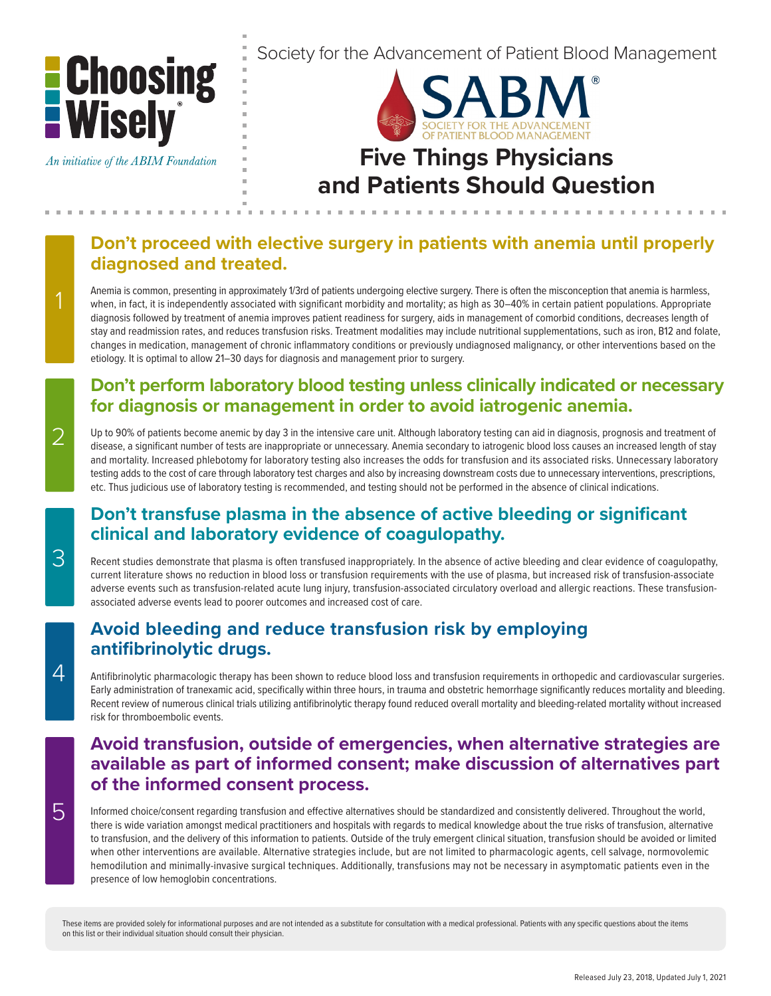

# **Don't proceed with elective surgery in patients with anemia until properly diagnosed and treated.**

Anemia is common, presenting in approximately 1/3rd of patients undergoing elective surgery. There is often the misconception that anemia is harmless, when, in fact, it is independently associated with significant morbidity and mortality; as high as 30–40% in certain patient populations. Appropriate diagnosis followed by treatment of anemia improves patient readiness for surgery, aids in management of comorbid conditions, decreases length of stay and readmission rates, and reduces transfusion risks. Treatment modalities may include nutritional supplementations, such as iron, B12 and folate, changes in medication, management of chronic inflammatory conditions or previously undiagnosed malignancy, or other interventions based on the etiology. It is optimal to allow 21–30 days for diagnosis and management prior to surgery.

#### **Don't perform laboratory blood testing unless clinically indicated or necessary for diagnosis or management in order to avoid iatrogenic anemia.**

Up to 90% of patients become anemic by day 3 in the intensive care unit. Although laboratory testing can aid in diagnosis, prognosis and treatment of disease, a significant number of tests are inappropriate or unnecessary. Anemia secondary to iatrogenic blood loss causes an increased length of stay and mortality. Increased phlebotomy for laboratory testing also increases the odds for transfusion and its associated risks. Unnecessary laboratory testing adds to the cost of care through laboratory test charges and also by increasing downstream costs due to unnecessary interventions, prescriptions, etc. Thus judicious use of laboratory testing is recommended, and testing should not be performed in the absence of clinical indications.

# **Don't transfuse plasma in the absence of active bleeding or significant clinical and laboratory evidence of coagulopathy.**

Recent studies demonstrate that plasma is often transfused inappropriately. In the absence of active bleeding and clear evidence of coagulopathy, current literature shows no reduction in blood loss or transfusion requirements with the use of plasma, but increased risk of transfusion-associate adverse events such as transfusion-related acute lung injury, transfusion-associated circulatory overload and allergic reactions. These transfusionassociated adverse events lead to poorer outcomes and increased cost of care.

# **Avoid bleeding and reduce transfusion risk by employing antifibrinolytic drugs.**

Antifibrinolytic pharmacologic therapy has been shown to reduce blood loss and transfusion requirements in orthopedic and cardiovascular surgeries. Early administration of tranexamic acid, specifically within three hours, in trauma and obstetric hemorrhage significantly reduces mortality and bleeding. Recent review of numerous clinical trials utilizing antifibrinolytic therapy found reduced overall mortality and bleeding-related mortality without increased risk for thromboembolic events.

#### **Avoid transfusion, outside of emergencies, when alternative strategies are available as part of informed consent; make discussion of alternatives part of the informed consent process.**

Informed choice/consent regarding transfusion and effective alternatives should be standardized and consistently delivered. Throughout the world, there is wide variation amongst medical practitioners and hospitals with regards to medical knowledge about the true risks of transfusion, alternative to transfusion, and the delivery of this information to patients. Outside of the truly emergent clinical situation, transfusion should be avoided or limited when other interventions are available. Alternative strategies include, but are not limited to pharmacologic agents, cell salvage, normovolemic hemodilution and minimally-invasive surgical techniques. Additionally, transfusions may not be necessary in asymptomatic patients even in the presence of low hemoglobin concentrations.

These items are provided solely for informational purposes and are not intended as a substitute for consultation with a medical professional. Patients with any specific questions about the items on this list or their individual situation should consult their physician.

 $\Delta$ 

3

2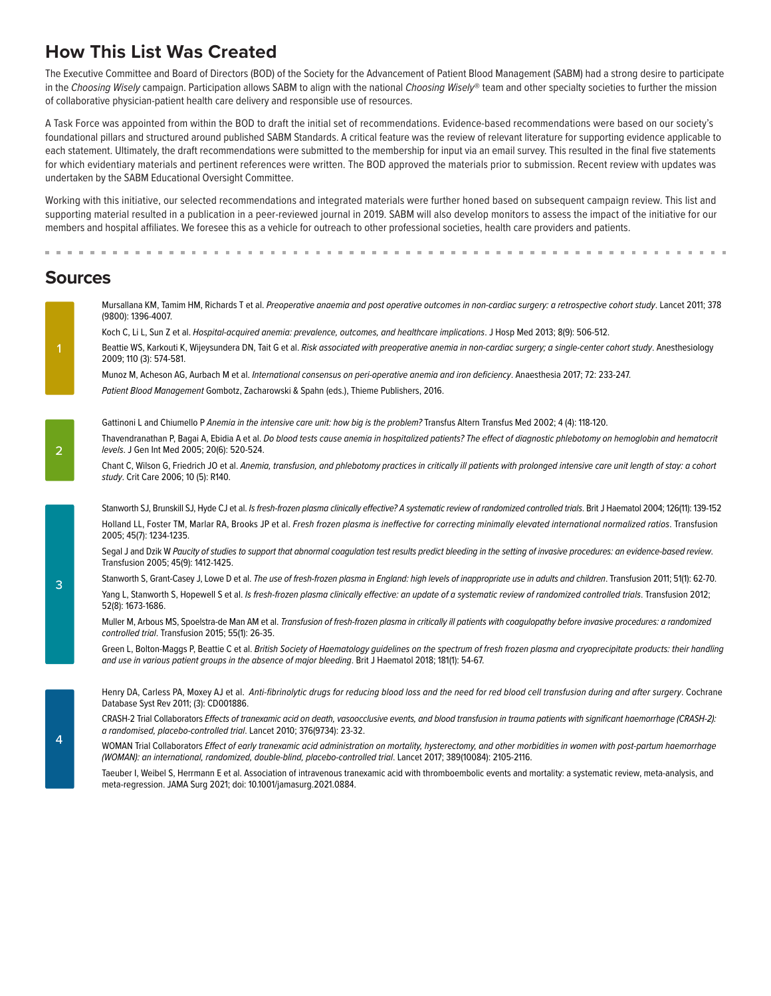#### **How This List Was Created**

The Executive Committee and Board of Directors (BOD) of the Society for the Advancement of Patient Blood Management (SABM) had a strong desire to participate in the *Choosing Wisely* campaign. Participation allows SABM to align with the national *Choosing Wisely*® team and other specialty societies to further the mission of collaborative physician-patient health care delivery and responsible use of resources.

A Task Force was appointed from within the BOD to draft the initial set of recommendations. Evidence-based recommendations were based on our society's foundational pillars and structured around published SABM Standards. A critical feature was the review of relevant literature for supporting evidence applicable to each statement. Ultimately, the draft recommendations were submitted to the membership for input via an email survey. This resulted in the final five statements for which evidentiary materials and pertinent references were written. The BOD approved the materials prior to submission. Recent review with updates was undertaken by the SABM Educational Oversight Committee.

Working with this initiative, our selected recommendations and integrated materials were further honed based on subsequent campaign review. This list and supporting material resulted in a publication in a peer-reviewed journal in 2019. SABM will also develop monitors to assess the impact of the initiative for our members and hospital affiliates. We foresee this as a vehicle for outreach to other professional societies, health care providers and patients.

#### **Sources**

|                | Mursallana KM, Tamim HM, Richards T et al. Preoperative anaemia and post operative outcomes in non-cardiac surgery: a retrospective cohort study. Lancet 2011; 378<br>(9800): 1396-4007.                                                                                               |
|----------------|----------------------------------------------------------------------------------------------------------------------------------------------------------------------------------------------------------------------------------------------------------------------------------------|
| $\overline{1}$ | Koch C, Li L, Sun Z et al. Hospital-acquired anemia: prevalence, outcomes, and healthcare implications. J Hosp Med 2013; 8(9): 506-512.                                                                                                                                                |
|                | Beattie WS, Karkouti K, Wijeysundera DN, Tait G et al. Risk associated with preoperative anemia in non-cardiac surgery; a single-center cohort study. Anesthesiology<br>2009; 110 (3): 574-581.                                                                                        |
|                | Munoz M, Acheson AG, Aurbach M et al. International consensus on peri-operative anemia and iron deficiency. Anaesthesia 2017; 72: 233-247.                                                                                                                                             |
|                | Patient Blood Management Gombotz, Zacharowski & Spahn (eds.), Thieme Publishers, 2016.                                                                                                                                                                                                 |
| $\overline{2}$ | Gattinoni L and Chiumello P Anemia in the intensive care unit: how big is the problem? Transfus Altern Transfus Med 2002; 4 (4): 118-120.                                                                                                                                              |
|                | Thavendranathan P, Bagai A, Ebidia A et al. Do blood tests cause anemia in hospitalized patients? The effect of diagnostic phlebotomy on hemoglobin and hematocrit<br>levels. J Gen Int Med 2005; 20(6): 520-524.                                                                      |
|                | Chant C, Wilson G, Friedrich JO et al. Anemia, transfusion, and phlebotomy practices in critically ill patients with prolonged intensive care unit length of stay: a cohort<br>study. Crit Care 2006; 10 (5): R140.                                                                    |
| 3              | Stanworth SJ, Brunskill SJ, Hyde CJ et al. Is fresh-frozen plasma clinically effective? A systematic review of randomized controlled trials. Brit J Haematol 2004; 126(11): 139-152                                                                                                    |
|                | Holland LL, Foster TM, Marlar RA, Brooks JP et al. Fresh frozen plasma is ineffective for correcting minimally elevated international normalized ratios. Transfusion<br>2005; 45(7): 1234-1235.                                                                                        |
|                | Segal J and Dzik W Paucity of studies to support that abnormal coaqulation test results predict bleeding in the setting of invasive procedures: an evidence-based review.<br>Transfusion 2005; 45(9): 1412-1425.                                                                       |
|                | Stanworth S, Grant-Casey J, Lowe D et al. The use of fresh-frozen plasma in England: high levels of inappropriate use in adults and children. Transfusion 2011; 51(1): 62-70.                                                                                                          |
|                | Yang L, Stanworth S, Hopewell S et al. Is fresh-frozen plasma clinically effective: an update of a systematic review of randomized controlled trials. Transfusion 2012;<br>52(8): 1673-1686.                                                                                           |
|                | Muller M, Arbous MS, Spoelstra-de Man AM et al. Transfusion of fresh-frozen plasma in critically ill patients with coaqulopathy before invasive procedures: a randomized<br>controlled trial. Transfusion 2015; 55(1): 26-35.                                                          |
|                | Green L, Bolton-Maggs P, Beattie C et al. British Society of Haematology quidelines on the spectrum of fresh frozen plasma and cryoprecipitate products: their handling<br>and use in various patient groups in the absence of major bleeding. Brit J Haematol 2018; 181(1): 54-67.    |
| 4              | Henry DA, Carless PA, Moxey AJ et al. Anti-fibrinolytic drugs for reducing blood loss and the need for red blood cell transfusion during and after surgery. Cochrane<br>Database Syst Rev 2011; (3): CD001886.                                                                         |
|                | CRASH-2 Trial Collaborators Effects of tranexamic acid on death, vasoocclusive events, and blood transfusion in trauma patients with significant haemorrhage (CRASH-2):<br>a randomised, placebo-controlled trial. Lancet 2010; 376(9734): 23-32.                                      |
|                | WOMAN Trial Collaborators Effect of early tranexamic acid administration on mortality, hysterectomy, and other morbidities in women with post-partum haemorrhage<br>(WOMAN): an international, randomized, double-blind, placebo-controlled trial. Lancet 2017; 389(10084): 2105-2116. |
|                |                                                                                                                                                                                                                                                                                        |

Taeuber I, Weibel S, Herrmann E et al. Association of intravenous tranexamic acid with thromboembolic events and mortality: a systematic review, meta-analysis, and meta-regression. JAMA Surg 2021; doi: 10.1001/jamasurg.2021.0884.